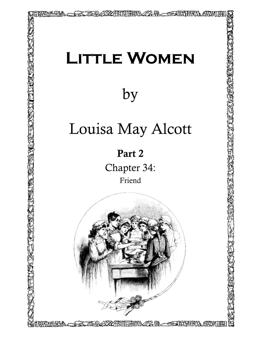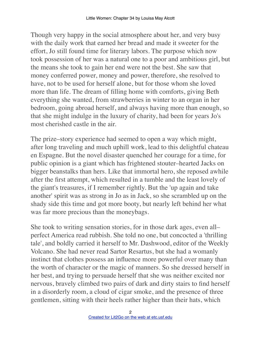Though very happy in the social atmosphere about her, and very busy with the daily work that earned her bread and made it sweeter for the effort, Jo still found time for literary labors. The purpose which now took possession of her was a natural one to a poor and ambitious girl, but the means she took to gain her end were not the best. She saw that money conferred power, money and power, therefore, she resolved to have, not to be used for herself alone, but for those whom she loved more than life. The dream of filling home with comforts, giving Beth everything she wanted, from strawberries in winter to an organ in her bedroom, going abroad herself, and always having more than enough, so that she might indulge in the luxury of charity, had been for years Jo's most cherished castle in the air.

The prize–story experience had seemed to open a way which might, after long traveling and much uphill work, lead to this delightful chateau en Espagne. But the novel disaster quenched her courage for a time, for public opinion is a giant which has frightened stouter–hearted Jacks on bigger beanstalks than hers. Like that immortal hero, she reposed awhile after the first attempt, which resulted in a tumble and the least lovely of the giant's treasures, if I remember rightly. But the 'up again and take another' spirit was as strong in Jo as in Jack, so she scrambled up on the shady side this time and got more booty, but nearly left behind her what was far more precious than the moneybags.

She took to writing sensation stories, for in those dark ages, even all– perfect America read rubbish. She told no one, but concocted a 'thrilling tale', and boldly carried it herself to Mr. Dashwood, editor of the Weekly Volcano. She had never read Sartor Resartus, but she had a womanly instinct that clothes possess an influence more powerful over many than the worth of character or the magic of manners. So she dressed herself in her best, and trying to persuade herself that she was neither excited nor nervous, bravely climbed two pairs of dark and dirty stairs to find herself in a disorderly room, a cloud of cigar smoke, and the presence of three gentlemen, sitting with their heels rather higher than their hats, which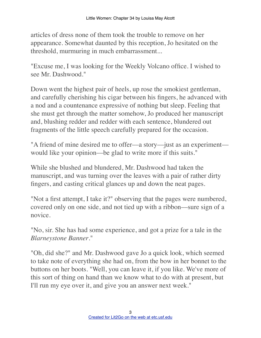articles of dress none of them took the trouble to remove on her appearance. Somewhat daunted by this reception, Jo hesitated on the threshold, murmuring in much embarrassment...

"Excuse me, I was looking for the Weekly Volcano office. I wished to see Mr. Dashwood."

Down went the highest pair of heels, up rose the smokiest gentleman, and carefully cherishing his cigar between his fingers, he advanced with a nod and a countenance expressive of nothing but sleep. Feeling that she must get through the matter somehow, Jo produced her manuscript and, blushing redder and redder with each sentence, blundered out fragments of the little speech carefully prepared for the occasion.

"A friend of mine desired me to offer—a story—just as an experiment would like your opinion––be glad to write more if this suits."

While she blushed and blundered, Mr. Dashwood had taken the manuscript, and was turning over the leaves with a pair of rather dirty fingers, and casting critical glances up and down the neat pages.

"Not a first attempt, I take it?" observing that the pages were numbered, covered only on one side, and not tied up with a ribbon––sure sign of a novice.

"No, sir. She has had some experience, and got a prize for a tale in the *Blarneystone Banner*."

"Oh, did she?" and Mr. Dashwood gave Jo a quick look, which seemed to take note of everything she had on, from the bow in her bonnet to the buttons on her boots. "Well, you can leave it, if you like. We've more of this sort of thing on hand than we know what to do with at present, but I'll run my eye over it, and give you an answer next week."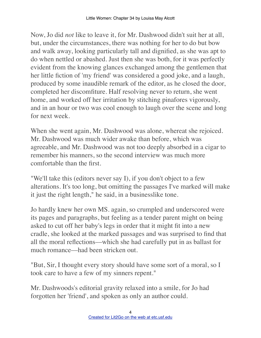Now, Jo did *not* like to leave it, for Mr. Dashwood didn't suit her at all, but, under the circumstances, there was nothing for her to do but bow and walk away, looking particularly tall and dignified, as she was apt to do when nettled or abashed. Just then she was both, for it was perfectly evident from the knowing glances exchanged among the gentlemen that her little fiction of 'my friend' was considered a good joke, and a laugh, produced by some inaudible remark of the editor, as he closed the door, completed her discomfiture. Half resolving never to return, she went home, and worked off her irritation by stitching pinafores vigorously, and in an hour or two was cool enough to laugh over the scene and long for next week.

When she went again, Mr. Dashwood was alone, whereat she rejoiced. Mr. Dashwood was much wider awake than before, which was agreeable, and Mr. Dashwood was not too deeply absorbed in a cigar to remember his manners, so the second interview was much more comfortable than the first.

"We'll take this (editors never say I), if you don't object to a few alterations. It's too long, but omitting the passages I've marked will make it just the right length," he said, in a businesslike tone.

Jo hardly knew her own MS. again, so crumpled and underscored were its pages and paragraphs, but feeling as a tender parent might on being asked to cut off her baby's legs in order that it might fit into a new cradle, she looked at the marked passages and was surprised to find that all the moral reflections––which she had carefully put in as ballast for much romance––had been stricken out.

"But, Sir, I thought every story should have some sort of a moral, so I took care to have a few of my sinners repent."

Mr. Dashwoods's editorial gravity relaxed into a smile, for Jo had forgotten her 'friend', and spoken as only an author could.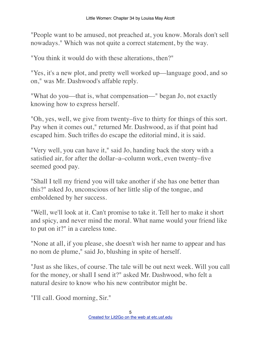"People want to be amused, not preached at, you know. Morals don't sell nowadays." Which was not quite a correct statement, by the way.

"You think it would do with these alterations, then?"

"Yes, it's a new plot, and pretty well worked up––language good, and so on," was Mr. Dashwood's affable reply.

"What do you––that is, what compensation––" began Jo, not exactly knowing how to express herself.

"Oh, yes, well, we give from twenty–five to thirty for things of this sort. Pay when it comes out," returned Mr. Dashwood, as if that point had escaped him. Such trifles do escape the editorial mind, it is said.

"Very well, you can have it," said Jo, handing back the story with a satisfied air, for after the dollar–a–column work, even twenty–five seemed good pay.

"Shall I tell my friend you will take another if she has one better than this?" asked Jo, unconscious of her little slip of the tongue, and emboldened by her success.

"Well, we'll look at it. Can't promise to take it. Tell her to make it short and spicy, and never mind the moral. What name would your friend like to put on it?" in a careless tone.

"None at all, if you please, she doesn't wish her name to appear and has no nom de plume," said Jo, blushing in spite of herself.

"Just as she likes, of course. The tale will be out next week. Will you call for the money, or shall I send it?" asked Mr. Dashwood, who felt a natural desire to know who his new contributor might be.

"I'll call. Good morning, Sir."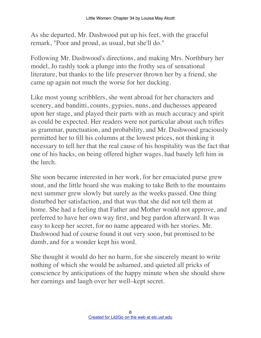As she departed, Mr. Dashwood put up his feet, with the graceful remark, "Poor and proud, as usual, but she'll do."

Following Mr. Dashwood's directions, and making Mrs. Northbury her model, Jo rashly took a plunge into the frothy sea of sensational literature, but thanks to the life preserver thrown her by a friend, she came up again not much the worse for her ducking.

Like most young scribblers, she went abroad for her characters and scenery, and banditti, counts, gypsies, nuns, and duchesses appeared upon her stage, and played their parts with as much accuracy and spirit as could be expected. Her readers were not particular about such trifles as grammar, punctuation, and probability, and Mr. Dashwood graciously permitted her to fill his columns at the lowest prices, not thinking it necessary to tell her that the real cause of his hospitality was the fact that one of his hacks, on being offered higher wages, had basely left him in the lurch.

She soon became interested in her work, for her emaciated purse grew stout, and the little hoard she was making to take Beth to the mountains next summer grew slowly but surely as the weeks passed. One thing disturbed her satisfaction, and that was that she did not tell them at home. She had a feeling that Father and Mother would not approve, and preferred to have her own way first, and beg pardon afterward. It was easy to keep her secret, for no name appeared with her stories. Mr. Dashwood had of course found it out very soon, but promised to be dumb, and for a wonder kept his word.

She thought it would do her no harm, for she sincerely meant to write nothing of which she would be ashamed, and quieted all pricks of conscience by anticipations of the happy minute when she should show her earnings and laugh over her well–kept secret.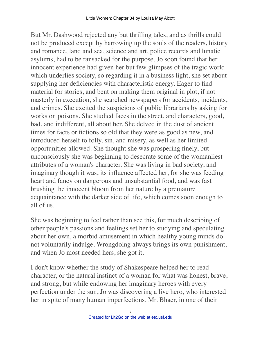But Mr. Dashwood rejected any but thrilling tales, and as thrills could not be produced except by harrowing up the souls of the readers, history and romance, land and sea, science and art, police records and lunatic asylums, had to be ransacked for the purpose. Jo soon found that her innocent experience had given her but few glimpses of the tragic world which underlies society, so regarding it in a business light, she set about supplying her deficiencies with characteristic energy. Eager to find material for stories, and bent on making them original in plot, if not masterly in execution, she searched newspapers for accidents, incidents, and crimes. She excited the suspicions of public librarians by asking for works on poisons. She studied faces in the street, and characters, good, bad, and indifferent, all about her. She delved in the dust of ancient times for facts or fictions so old that they were as good as new, and introduced herself to folly, sin, and misery, as well as her limited opportunities allowed. She thought she was prospering finely, but unconsciously she was beginning to desecrate some of the womanliest attributes of a woman's character. She was living in bad society, and imaginary though it was, its influence affected her, for she was feeding heart and fancy on dangerous and unsubstantial food, and was fast brushing the innocent bloom from her nature by a premature acquaintance with the darker side of life, which comes soon enough to all of us.

She was beginning to feel rather than see this, for much describing of other people's passions and feelings set her to studying and speculating about her own, a morbid amusement in which healthy young minds do not voluntarily indulge. Wrongdoing always brings its own punishment, and when Jo most needed hers, she got it.

I don't know whether the study of Shakespeare helped her to read character, or the natural instinct of a woman for what was honest, brave, and strong, but while endowing her imaginary heroes with every perfection under the sun, Jo was discovering a live hero, who interested her in spite of many human imperfections. Mr. Bhaer, in one of their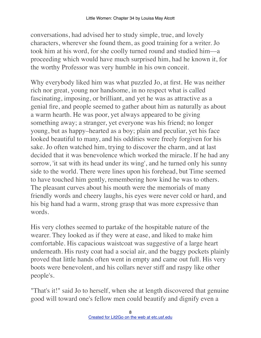conversations, had advised her to study simple, true, and lovely characters, wherever she found them, as good training for a writer. Jo took him at his word, for she coolly turned round and studied him––a proceeding which would have much surprised him, had he known it, for the worthy Professor was very humble in his own conceit.

Why everybody liked him was what puzzled Jo, at first. He was neither rich nor great, young nor handsome, in no respect what is called fascinating, imposing, or brilliant, and yet he was as attractive as a genial fire, and people seemed to gather about him as naturally as about a warm hearth. He was poor, yet always appeared to be giving something away; a stranger, yet everyone was his friend; no longer young, but as happy–hearted as a boy; plain and peculiar, yet his face looked beautiful to many, and his oddities were freely forgiven for his sake. Jo often watched him, trying to discover the charm, and at last decided that it was benevolence which worked the miracle. If he had any sorrow, 'it sat with its head under its wing', and he turned only his sunny side to the world. There were lines upon his forehead, but Time seemed to have touched him gently, remembering how kind he was to others. The pleasant curves about his mouth were the memorials of many friendly words and cheery laughs, his eyes were never cold or hard, and his big hand had a warm, strong grasp that was more expressive than words.

His very clothes seemed to partake of the hospitable nature of the wearer. They looked as if they were at ease, and liked to make him comfortable. His capacious waistcoat was suggestive of a large heart underneath. His rusty coat had a social air, and the baggy pockets plainly proved that little hands often went in empty and came out full. His very boots were benevolent, and his collars never stiff and raspy like other people's.

"That's it!" said Jo to herself, when she at length discovered that genuine good will toward one's fellow men could beautify and dignify even a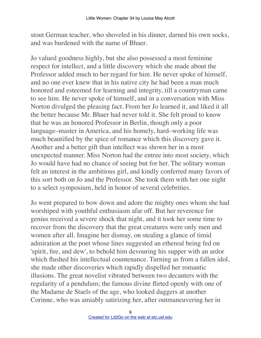stout German teacher, who shoveled in his dinner, darned his own socks, and was burdened with the name of Bhaer.

Jo valued goodness highly, but she also possessed a most feminine respect for intellect, and a little discovery which she made about the Professor added much to her regard for him. He never spoke of himself, and no one ever knew that in his native city he had been a man much honored and esteemed for learning and integrity, till a countryman came to see him. He never spoke of himself, and in a conversation with Miss Norton divulged the pleasing fact. From her Jo learned it, and liked it all the better because Mr. Bhaer had never told it. She felt proud to know that he was an honored Professor in Berlin, though only a poor language–master in America, and his homely, hard–working life was much beautified by the spice of romance which this discovery gave it. Another and a better gift than intellect was shown her in a most unexpected manner. Miss Norton had the entree into most society, which Jo would have had no chance of seeing but for her. The solitary woman felt an interest in the ambitious girl, and kindly conferred many favors of this sort both on Jo and the Professor. She took them with her one night to a select symposium, held in honor of several celebrities.

Jo went prepared to bow down and adore the mighty ones whom she had worshiped with youthful enthusiasm afar off. But her reverence for genius received a severe shock that night, and it took her some time to recover from the discovery that the great creatures were only men and women after all. Imagine her dismay, on stealing a glance of timid admiration at the poet whose lines suggested an ethereal being fed on 'spirit, fire, and dew', to behold him devouring his supper with an ardor which flushed his intellectual countenance. Turning as from a fallen idol, she made other discoveries which rapidly dispelled her romantic illusions. The great novelist vibrated between two decanters with the regularity of a pendulum; the famous divine flirted openly with one of the Madame de Staels of the age, who looked daggers at another Corinne, who was amiably satirizing her, after outmaneuvering her in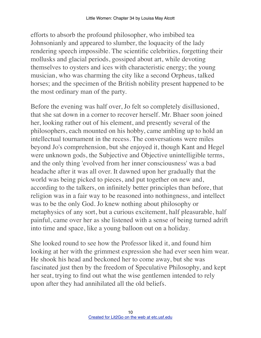efforts to absorb the profound philosopher, who imbibed tea Johnsonianly and appeared to slumber, the loquacity of the lady rendering speech impossible. The scientific celebrities, forgetting their mollusks and glacial periods, gossiped about art, while devoting themselves to oysters and ices with characteristic energy; the young musician, who was charming the city like a second Orpheus, talked horses; and the specimen of the British nobility present happened to be the most ordinary man of the party.

Before the evening was half over, Jo felt so completely disillusioned, that she sat down in a corner to recover herself. Mr. Bhaer soon joined her, looking rather out of his element, and presently several of the philosophers, each mounted on his hobby, came ambling up to hold an intellectual tournament in the recess. The conversations were miles beyond Jo's comprehension, but she enjoyed it, though Kant and Hegel were unknown gods, the Subjective and Objective unintelligible terms, and the only thing 'evolved from her inner consciousness' was a bad headache after it was all over. It dawned upon her gradually that the world was being picked to pieces, and put together on new and, according to the talkers, on infinitely better principles than before, that religion was in a fair way to be reasoned into nothingness, and intellect was to be the only God. Jo knew nothing about philosophy or metaphysics of any sort, but a curious excitement, half pleasurable, half painful, came over her as she listened with a sense of being turned adrift into time and space, like a young balloon out on a holiday.

She looked round to see how the Professor liked it, and found him looking at her with the grimmest expression she had ever seen him wear. He shook his head and beckoned her to come away, but she was fascinated just then by the freedom of Speculative Philosophy, and kept her seat, trying to find out what the wise gentlemen intended to rely upon after they had annihilated all the old beliefs.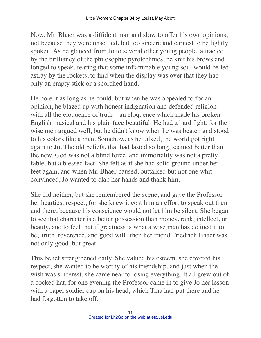Now, Mr. Bhaer was a diffident man and slow to offer his own opinions, not because they were unsettled, but too sincere and earnest to be lightly spoken. As he glanced from Jo to several other young people, attracted by the brilliancy of the philosophic pyrotechnics, he knit his brows and longed to speak, fearing that some inflammable young soul would be led astray by the rockets, to find when the display was over that they had only an empty stick or a scorched hand.

He bore it as long as he could, but when he was appealed to for an opinion, he blazed up with honest indignation and defended religion with all the eloquence of truth—an eloquence which made his broken English musical and his plain face beautiful. He had a hard fight, for the wise men argued well, but he didn't know when he was beaten and stood to his colors like a man. Somehow, as he talked, the world got right again to Jo. The old beliefs, that had lasted so long, seemed better than the new. God was not a blind force, and immortality was not a pretty fable, but a blessed fact. She felt as if she had solid ground under her feet again, and when Mr. Bhaer paused, outtalked but not one whit convinced, Jo wanted to clap her hands and thank him.

She did neither, but she remembered the scene, and gave the Professor her heartiest respect, for she knew it cost him an effort to speak out then and there, because his conscience would not let him be silent. She began to see that character is a better possession than money, rank, intellect, or beauty, and to feel that if greatness is what a wise man has defined it to be, 'truth, reverence, and good will', then her friend Friedrich Bhaer was not only good, but great.

This belief strengthened daily. She valued his esteem, she coveted his respect, she wanted to be worthy of his friendship, and just when the wish was sincerest, she came near to losing everything. It all grew out of a cocked hat, for one evening the Professor came in to give Jo her lesson with a paper soldier cap on his head, which Tina had put there and he had forgotten to take off.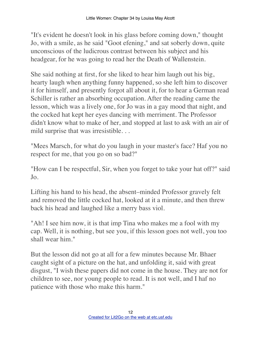"It's evident he doesn't look in his glass before coming down," thought Jo, with a smile, as he said "Goot efening," and sat soberly down, quite unconscious of the ludicrous contrast between his subject and his headgear, for he was going to read her the Death of Wallenstein.

She said nothing at first, for she liked to hear him laugh out his big, hearty laugh when anything funny happened, so she left him to discover it for himself, and presently forgot all about it, for to hear a German read Schiller is rather an absorbing occupation. After the reading came the lesson, which was a lively one, for Jo was in a gay mood that night, and the cocked hat kept her eyes dancing with merriment. The Professor didn't know what to make of her, and stopped at last to ask with an air of mild surprise that was irresistible. . .

"Mees Marsch, for what do you laugh in your master's face? Haf you no respect for me, that you go on so bad?"

"How can I be respectful, Sir, when you forget to take your hat off?" said Jo.

Lifting his hand to his head, the absent–minded Professor gravely felt and removed the little cocked hat, looked at it a minute, and then threw back his head and laughed like a merry bass viol.

"Ah! I see him now, it is that imp Tina who makes me a fool with my cap. Well, it is nothing, but see you, if this lesson goes not well, you too shall wear him."

But the lesson did not go at all for a few minutes because Mr. Bhaer caught sight of a picture on the hat, and unfolding it, said with great disgust, "I wish these papers did not come in the house. They are not for children to see, nor young people to read. It is not well, and I haf no patience with those who make this harm."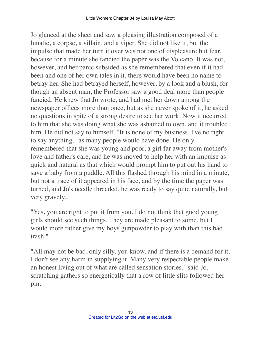Jo glanced at the sheet and saw a pleasing illustration composed of a lunatic, a corpse, a villain, and a viper. She did not like it, but the impulse that made her turn it over was not one of displeasure but fear, because for a minute she fancied the paper was the Volcano. It was not, however, and her panic subsided as she remembered that even if it had been and one of her own tales in it, there would have been no name to betray her. She had betrayed herself, however, by a look and a blush, for though an absent man, the Professor saw a good deal more than people fancied. He knew that Jo wrote, and had met her down among the newspaper offices more than once, but as she never spoke of it, he asked no questions in spite of a strong desire to see her work. Now it occurred to him that she was doing what she was ashamed to own, and it troubled him. He did not say to himself, "It is none of my business. I've no right to say anything," as many people would have done. He only remembered that she was young and poor, a girl far away from mother's love and father's care, and he was moved to help her with an impulse as quick and natural as that which would prompt him to put out his hand to save a baby from a puddle. All this flashed through his mind in a minute, but not a trace of it appeared in his face, and by the time the paper was turned, and Jo's needle threaded, he was ready to say quite naturally, but very gravely...

"Yes, you are right to put it from you. I do not think that good young girls should see such things. They are made pleasant to some, but I would more rather give my boys gunpowder to play with than this bad trash."

"All may not be bad, only silly, you know, and if there is a demand for it, I don't see any harm in supplying it. Many very respectable people make an honest living out of what are called sensation stories," said Jo, scratching gathers so energetically that a row of little slits followed her pin.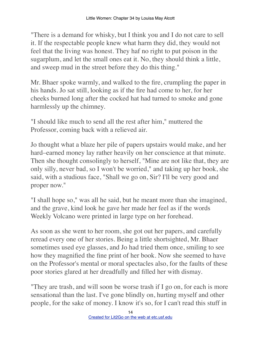"There is a demand for whisky, but I think you and I do not care to sell it. If the respectable people knew what harm they did, they would not feel that the living was honest. They haf no right to put poison in the sugarplum, and let the small ones eat it. No, they should think a little, and sweep mud in the street before they do this thing."

Mr. Bhaer spoke warmly, and walked to the fire, crumpling the paper in his hands. Jo sat still, looking as if the fire had come to her, for her cheeks burned long after the cocked hat had turned to smoke and gone harmlessly up the chimney.

"I should like much to send all the rest after him," muttered the Professor, coming back with a relieved air.

Jo thought what a blaze her pile of papers upstairs would make, and her hard–earned money lay rather heavily on her conscience at that minute. Then she thought consolingly to herself, "Mine are not like that, they are only silly, never bad, so I won't be worried," and taking up her book, she said, with a studious face, "Shall we go on, Sir? I'll be very good and proper now."

"I shall hope so," was all he said, but he meant more than she imagined, and the grave, kind look he gave her made her feel as if the words Weekly Volcano were printed in large type on her forehead.

As soon as she went to her room, she got out her papers, and carefully reread every one of her stories. Being a little shortsighted, Mr. Bhaer sometimes used eye glasses, and Jo had tried them once, smiling to see how they magnified the fine print of her book. Now she seemed to have on the Professor's mental or moral spectacles also, for the faults of these poor stories glared at her dreadfully and filled her with dismay.

"They are trash, and will soon be worse trash if I go on, for each is more sensational than the last. I've gone blindly on, hurting myself and other people, for the sake of money. I know it's so, for I can't read this stuff in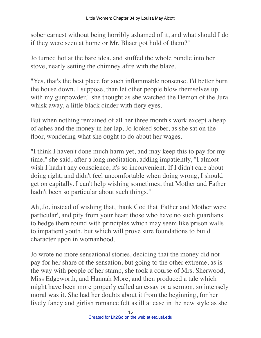sober earnest without being horribly ashamed of it, and what should I do if they were seen at home or Mr. Bhaer got hold of them?"

Jo turned hot at the bare idea, and stuffed the whole bundle into her stove, nearly setting the chimney afire with the blaze.

"Yes, that's the best place for such inflammable nonsense. I'd better burn the house down, I suppose, than let other people blow themselves up with my gunpowder," she thought as she watched the Demon of the Jura whisk away, a little black cinder with fiery eyes.

But when nothing remained of all her three month's work except a heap of ashes and the money in her lap, Jo looked sober, as she sat on the floor, wondering what she ought to do about her wages.

"I think I haven't done much harm yet, and may keep this to pay for my time," she said, after a long meditation, adding impatiently, "I almost wish I hadn't any conscience, it's so inconvenient. If I didn't care about doing right, and didn't feel uncomfortable when doing wrong, I should get on capitally. I can't help wishing sometimes, that Mother and Father hadn't been so particular about such things."

Ah, Jo, instead of wishing that, thank God that 'Father and Mother were particular', and pity from your heart those who have no such guardians to hedge them round with principles which may seem like prison walls to impatient youth, but which will prove sure foundations to build character upon in womanhood.

Jo wrote no more sensational stories, deciding that the money did not pay for her share of the sensation, but going to the other extreme, as is the way with people of her stamp, she took a course of Mrs. Sherwood, Miss Edgeworth, and Hannah More, and then produced a tale which might have been more properly called an essay or a sermon, so intensely moral was it. She had her doubts about it from the beginning, for her lively fancy and girlish romance felt as ill at ease in the new style as she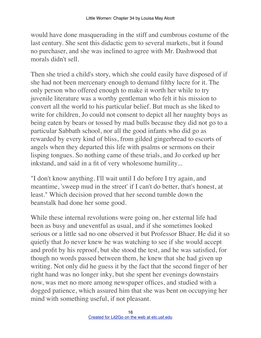would have done masquerading in the stiff and cumbrous costume of the last century. She sent this didactic gem to several markets, but it found no purchaser, and she was inclined to agree with Mr. Dashwood that morals didn't sell.

Then she tried a child's story, which she could easily have disposed of if she had not been mercenary enough to demand filthy lucre for it. The only person who offered enough to make it worth her while to try juvenile literature was a worthy gentleman who felt it his mission to convert all the world to his particular belief. But much as she liked to write for children, Jo could not consent to depict all her naughty boys as being eaten by bears or tossed by mad bulls because they did not go to a particular Sabbath school, nor all the good infants who did go as rewarded by every kind of bliss, from gilded gingerbread to escorts of angels when they departed this life with psalms or sermons on their lisping tongues. So nothing came of these trials, and Jo corked up her inkstand, and said in a fit of very wholesome humility...

"I don't know anything. I'll wait until I do before I try again, and meantime, 'sweep mud in the street' if I can't do better, that's honest, at least." Which decision proved that her second tumble down the beanstalk had done her some good.

While these internal revolutions were going on, her external life had been as busy and uneventful as usual, and if she sometimes looked serious or a little sad no one observed it but Professor Bhaer. He did it so quietly that Jo never knew he was watching to see if she would accept and profit by his reproof, but she stood the test, and he was satisfied, for though no words passed between them, he knew that she had given up writing. Not only did he guess it by the fact that the second finger of her right hand was no longer inky, but she spent her evenings downstairs now, was met no more among newspaper offices, and studied with a dogged patience, which assured him that she was bent on occupying her mind with something useful, if not pleasant.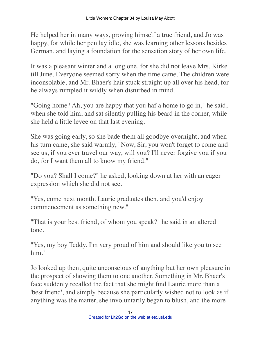He helped her in many ways, proving himself a true friend, and Jo was happy, for while her pen lay idle, she was learning other lessons besides German, and laying a foundation for the sensation story of her own life.

It was a pleasant winter and a long one, for she did not leave Mrs. Kirke till June. Everyone seemed sorry when the time came. The children were inconsolable, and Mr. Bhaer's hair stuck straight up all over his head, for he always rumpled it wildly when disturbed in mind.

"Going home? Ah, you are happy that you haf a home to go in," he said, when she told him, and sat silently pulling his beard in the corner, while she held a little levee on that last evening.

She was going early, so she bade them all goodbye overnight, and when his turn came, she said warmly, "Now, Sir, you won't forget to come and see us, if you ever travel our way, will you? I'll never forgive you if you do, for I want them all to know my friend."

"Do you? Shall I come?" he asked, looking down at her with an eager expression which she did not see.

"Yes, come next month. Laurie graduates then, and you'd enjoy commencement as something new."

"That is your best friend, of whom you speak?" he said in an altered tone.

"Yes, my boy Teddy. I'm very proud of him and should like you to see him."

Jo looked up then, quite unconscious of anything but her own pleasure in the prospect of showing them to one another. Something in Mr. Bhaer's face suddenly recalled the fact that she might find Laurie more than a 'best friend', and simply because she particularly wished not to look as if anything was the matter, she involuntarily began to blush, and the more